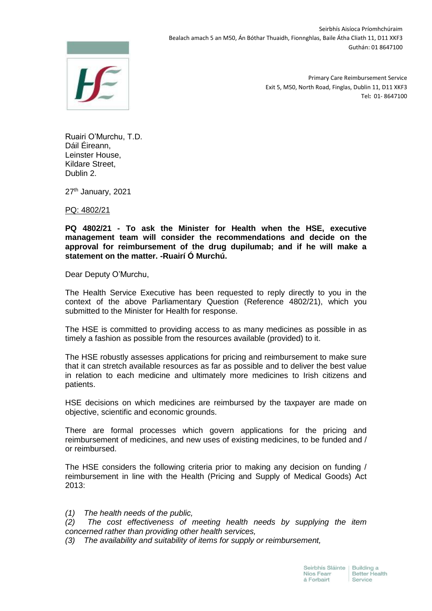

Seirbhís Aisíoca Príomhchúraim Bealach amach 5 an M50, Án Bóthar Thuaidh, Fionnghlas, Baile Átha Cliath 11, D11 XKF3 Guthán: 01 8647100

> Primary Care Reimbursement Service Exit 5, M50, North Road, Finglas, Dublin 11, D11 XKF3 Tel**:** 01- 8647100

Ruairi O'Murchu, T.D. Dáil Éireann, Leinster House, Kildare Street, Dublin 2.

27<sup>th</sup> January, 2021

PQ: 4802/21

**PQ 4802/21 - To ask the Minister for Health when the HSE, executive management team will consider the recommendations and decide on the approval for reimbursement of the drug dupilumab; and if he will make a statement on the matter. -Ruairí Ó Murchú.**

Dear Deputy O'Murchu,

The Health Service Executive has been requested to reply directly to you in the context of the above Parliamentary Question (Reference 4802/21), which you submitted to the Minister for Health for response.

The HSE is committed to providing access to as many medicines as possible in as timely a fashion as possible from the resources available (provided) to it.

The HSE robustly assesses applications for pricing and reimbursement to make sure that it can stretch available resources as far as possible and to deliver the best value in relation to each medicine and ultimately more medicines to Irish citizens and patients.

HSE decisions on which medicines are reimbursed by the taxpayer are made on objective, scientific and economic grounds.

There are formal processes which govern applications for the pricing and reimbursement of medicines, and new uses of existing medicines, to be funded and / or reimbursed.

The HSE considers the following criteria prior to making any decision on funding / reimbursement in line with the Health (Pricing and Supply of Medical Goods) Act 2013:

*(1) The health needs of the public,*

*(2) The cost effectiveness of meeting health needs by supplying the item concerned rather than providing other health services,*

*(3) The availability and suitability of items for supply or reimbursement,*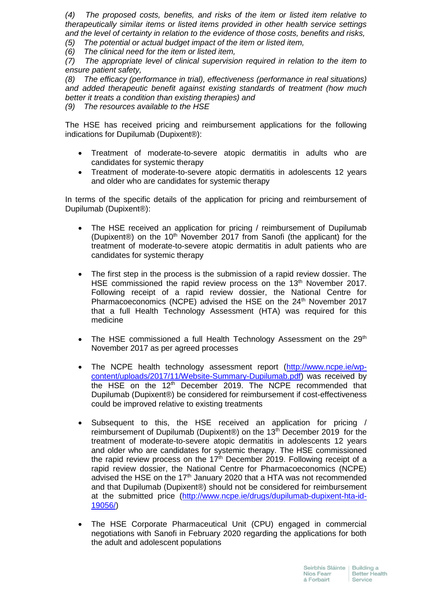*(4) The proposed costs, benefits, and risks of the item or listed item relative to therapeutically similar items or listed items provided in other health service settings and the level of certainty in relation to the evidence of those costs, benefits and risks,*

*(5) The potential or actual budget impact of the item or listed item,*

*(6) The clinical need for the item or listed item,* 

*(7) The appropriate level of clinical supervision required in relation to the item to ensure patient safety,*

*(8) The efficacy (performance in trial), effectiveness (performance in real situations) and added therapeutic benefit against existing standards of treatment (how much better it treats a condition than existing therapies) and*

*(9) The resources available to the HSE*

The HSE has received pricing and reimbursement applications for the following indications for Dupilumab (Dupixent®):

- Treatment of moderate-to-severe atopic dermatitis in adults who are candidates for systemic therapy
- Treatment of moderate-to-severe atopic dermatitis in adolescents 12 years and older who are candidates for systemic therapy

In terms of the specific details of the application for pricing and reimbursement of Dupilumab (Dupixent®):

- The HSE received an application for pricing / reimbursement of Dupilumab (Dupixent®) on the 10<sup>th</sup> November 2017 from Sanofi (the applicant) for the treatment of moderate-to-severe atopic dermatitis in adult patients who are candidates for systemic therapy
- The first step in the process is the submission of a rapid review dossier. The HSE commissioned the rapid review process on the  $13<sup>th</sup>$  November 2017. Following receipt of a rapid review dossier, the National Centre for Pharmacoeconomics (NCPE) advised the HSE on the 24<sup>th</sup> November 2017 that a full Health Technology Assessment (HTA) was required for this medicine
- The HSE commissioned a full Health Technology Assessment on the  $29<sup>th</sup>$ November 2017 as per agreed processes
- The NCPE health technology assessment report [\(http://www.ncpe.ie/wp](http://www.ncpe.ie/wp-content/uploads/2017/11/Website-Summary-Dupilumab.pdf)[content/uploads/2017/11/Website-Summary-Dupilumab.pdf\)](http://www.ncpe.ie/wp-content/uploads/2017/11/Website-Summary-Dupilumab.pdf) was received by the HSE on the  $12<sup>th</sup>$  December 2019. The NCPE recommended that Dupilumab (Dupixent®) be considered for reimbursement if cost-effectiveness could be improved relative to existing treatments
- Subsequent to this, the HSE received an application for pricing / reimbursement of Dupilumab (Dupixent®) on the 13<sup>th</sup> December 2019 for the treatment of moderate-to-severe atopic dermatitis in adolescents 12 years and older who are candidates for systemic therapy. The HSE commissioned the rapid review process on the  $17<sup>th</sup>$  December 2019. Following receipt of a rapid review dossier, the National Centre for Pharmacoeconomics (NCPE) advised the HSE on the 17<sup>th</sup> January 2020 that a HTA was not recommended and that Dupilumab (Dupixent®) should not be considered for reimbursement at the submitted price [\(http://www.ncpe.ie/drugs/dupilumab-dupixent-hta-id-](http://www.ncpe.ie/drugs/dupilumab-dupixent-hta-id-19056/)[19056/\)](http://www.ncpe.ie/drugs/dupilumab-dupixent-hta-id-19056/)
- The HSE Corporate Pharmaceutical Unit (CPU) engaged in commercial negotiations with Sanofi in February 2020 regarding the applications for both the adult and adolescent populations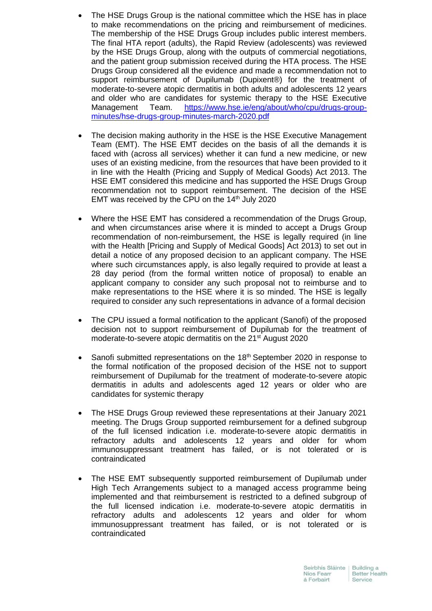- The HSE Drugs Group is the national committee which the HSE has in place to make recommendations on the pricing and reimbursement of medicines. The membership of the HSE Drugs Group includes public interest members. The final HTA report (adults), the Rapid Review (adolescents) was reviewed by the HSE Drugs Group, along with the outputs of commercial negotiations, and the patient group submission received during the HTA process. The HSE Drugs Group considered all the evidence and made a recommendation not to support reimbursement of Dupilumab (Dupixent®) for the treatment of moderate-to-severe atopic dermatitis in both adults and adolescents 12 years and older who are candidates for systemic therapy to the HSE Executive Management Team. [https://www.hse.ie/eng/about/who/cpu/drugs-group](https://www.hse.ie/eng/about/who/cpu/drugs-group-minutes/hse-drugs-group-minutes-march-2020.pdf)[minutes/hse-drugs-group-minutes-march-2020.pdf](https://www.hse.ie/eng/about/who/cpu/drugs-group-minutes/hse-drugs-group-minutes-march-2020.pdf)
- The decision making authority in the HSE is the HSE Executive Management Team (EMT). The HSE EMT decides on the basis of all the demands it is faced with (across all services) whether it can fund a new medicine, or new uses of an existing medicine, from the resources that have been provided to it in line with the Health (Pricing and Supply of Medical Goods) Act 2013. The HSE EMT considered this medicine and has supported the HSE Drugs Group recommendation not to support reimbursement. The decision of the HSE EMT was received by the CPU on the  $14<sup>th</sup>$  July 2020
- Where the HSE EMT has considered a recommendation of the Drugs Group, and when circumstances arise where it is minded to accept a Drugs Group recommendation of non-reimbursement, the HSE is legally required (in line with the Health [Pricing and Supply of Medical Goods] Act 2013) to set out in detail a notice of any proposed decision to an applicant company. The HSE where such circumstances apply, is also legally required to provide at least a 28 day period (from the formal written notice of proposal) to enable an applicant company to consider any such proposal not to reimburse and to make representations to the HSE where it is so minded. The HSE is legally required to consider any such representations in advance of a formal decision
- The CPU issued a formal notification to the applicant (Sanofi) of the proposed decision not to support reimbursement of Dupilumab for the treatment of moderate-to-severe atopic dermatitis on the 21<sup>st</sup> August 2020
- Sanofi submitted representations on the  $18<sup>th</sup>$  September 2020 in response to the formal notification of the proposed decision of the HSE not to support reimbursement of Dupilumab for the treatment of moderate-to-severe atopic dermatitis in adults and adolescents aged 12 years or older who are candidates for systemic therapy
- The HSE Drugs Group reviewed these representations at their January 2021 meeting. The Drugs Group supported reimbursement for a defined subgroup of the full licensed indication i.e. moderate-to-severe atopic dermatitis in refractory adults and adolescents 12 years and older for whom immunosuppressant treatment has failed, or is not tolerated or is contraindicated
- The HSE EMT subsequently supported reimbursement of Dupilumab under High Tech Arrangements subject to a managed access programme being implemented and that reimbursement is restricted to a defined subgroup of the full licensed indication i.e. moderate-to-severe atopic dermatitis in refractory adults and adolescents 12 years and older for whom immunosuppressant treatment has failed, or is not tolerated or is contraindicated